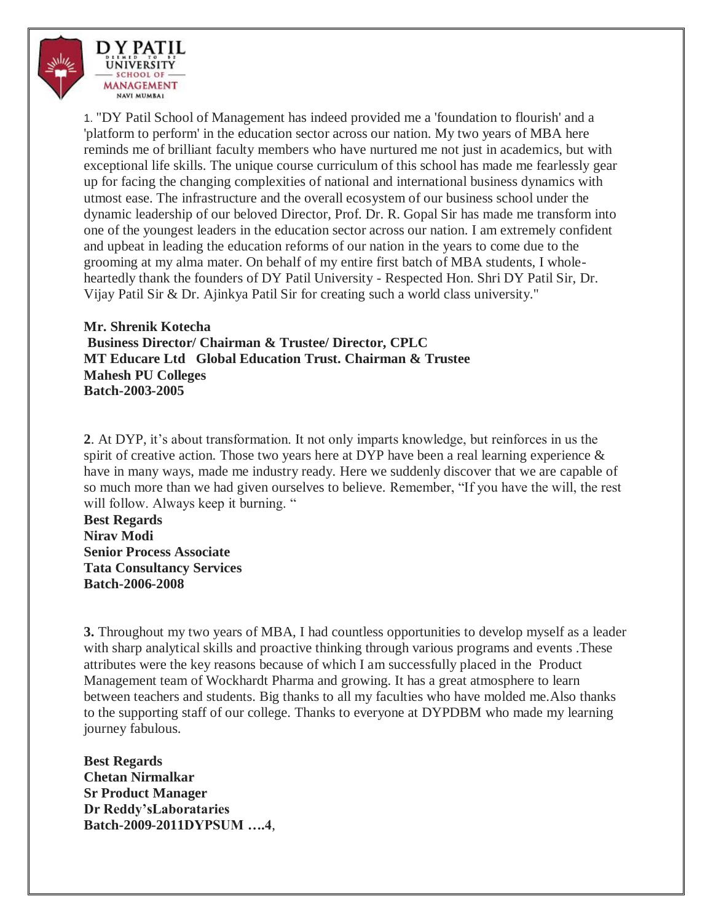

1. "DY Patil School of Management has indeed provided me a 'foundation to flourish' and a 'platform to perform' in the education sector across our nation. My two years of MBA here reminds me of brilliant faculty members who have nurtured me not just in academics, but with exceptional life skills. The unique course curriculum of this school has made me fearlessly gear up for facing the changing complexities of national and international business dynamics with utmost ease. The infrastructure and the overall ecosystem of our business school under the dynamic leadership of our beloved Director, Prof. Dr. R. Gopal Sir has made me transform into one of the youngest leaders in the education sector across our nation. I am extremely confident and upbeat in leading the education reforms of our nation in the years to come due to the grooming at my alma mater. On behalf of my entire first batch of MBA students, I wholeheartedly thank the founders of DY Patil University - Respected Hon. Shri DY Patil Sir, Dr. Vijay Patil Sir & Dr. Ajinkya Patil Sir for creating such a world class university."

**Mr. Shrenik Kotecha Business Director/ Chairman & Trustee/ Director, CPLC MT Educare Ltd Global Education Trust. Chairman & Trustee Mahesh PU Colleges Batch-2003-2005**

**2**. At DYP, it's about transformation. It not only imparts knowledge, but reinforces in us the spirit of creative action. Those two years here at DYP have been a real learning experience  $\&$ have in many ways, made me industry ready. Here we suddenly discover that we are capable of so much more than we had given ourselves to believe. Remember, "If you have the will, the rest will follow. Always keep it burning. "

**Best Regards Nirav Modi Senior Process Associate Tata Consultancy Services Batch-2006-2008**

**3.** Throughout my two years of MBA, I had countless opportunities to develop myself as a leader with sharp analytical skills and proactive thinking through various programs and events .These attributes were the key reasons because of which I am successfully placed in the Product Management team of Wockhardt Pharma and growing. It has a great atmosphere to learn between teachers and students. Big thanks to all my faculties who have molded me.Also thanks to the supporting staff of our college. Thanks to everyone at DYPDBM who made my learning journey fabulous.

**Best Regards Chetan Nirmalkar Sr Product Manager Dr Reddy'sLaborataries Batch-2009-2011DYPSUM ….4**,